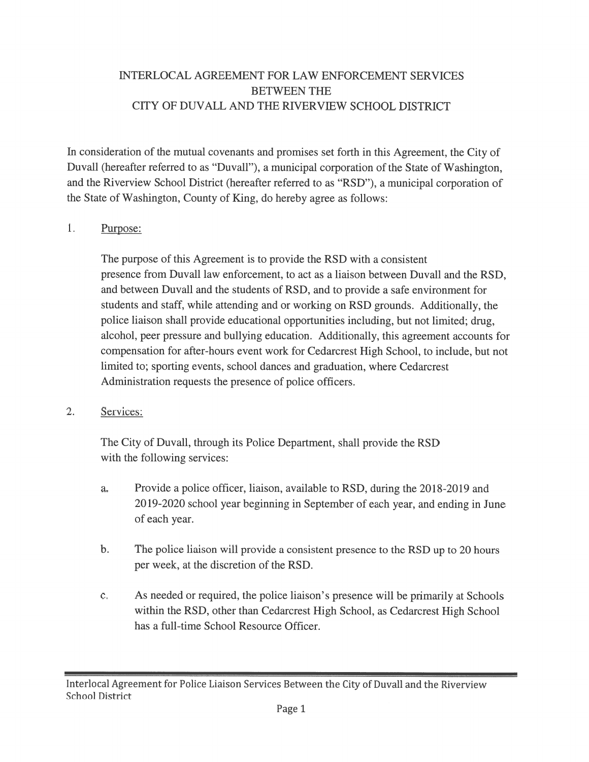### INTERLOCAL AGREEMENT FOR LAW ENFORCEMENT SERVICES BETWEEN THE CITY OF DUVALL AND THE RIVERVIEW SCHOOL DISTRICT

In consideration of the mutual covenants and promises set forth in this Agreement, the City of Duvall (hereafter referred to as "Duvall"), <sup>a</sup> municipal corporation of the State of Washington, and the Riverview School District (hereafter referred to as "RSD"), <sup>a</sup> municipal corporation of the State of Washington, County of King, do hereby agree as follows:

#### 1. Purpose:

The purpose of this Agreement is to provide the RSD with <sup>a</sup> consistent presence from Duvall law enforcement, to act as <sup>a</sup> liaison between Duvall and the RSD, and between Duvall and the students of RSD, and to provide <sup>a</sup> safe environment for students and staff, while attending and or working on RSD grounds. Additionally, the police liaison shall provide educational opportunities including, but not limited; drug, alcohol, peer pressure and bullying education. Additionally, this agreemen<sup>t</sup> accounts for compensation for after-hours event work for Cedarcrest High School, to include, but not limited to; sporting events, school dances and graduation, where Cedarcrest Administration requests the presence of police officers.

#### 2. Services:

The City of Duvall, through its Police Department, shall provide the RSD with the following services:

- a. Provide <sup>a</sup> police officer, liaison, available to RSD, during the 2018-2019 and 2019-2020 school year beginning in September of each year, and ending in June of each year.
- b. The police liaison will provide <sup>a</sup> consistent presence to the RSD up to 20 hours per week, at the discretion of the RSD.
- c. As needed or required, the police liaison's presence will be primarily at Schools within the RSD, other than Cedarcrest High School, as Cedarcrest High School has <sup>a</sup> full-time School Resource Officer.

Interlocal Agreement for Police Liaison Services Between the City of Duvall and the Riverview School District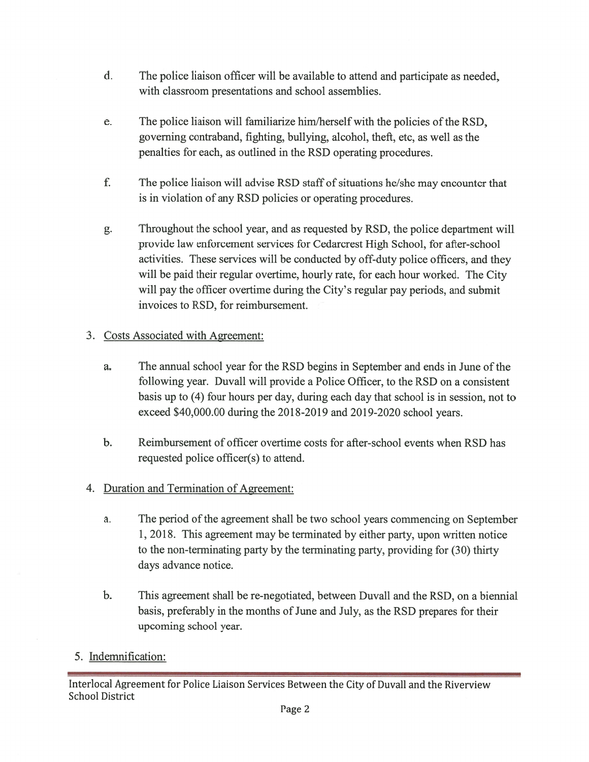- d. The police liaison officer will be available to attend and participate as needed, with classroom presentations and school assemblies.
- e. The police liaison will familiarize him/herself with the policies of the RSD, governing contraband, fighting, bullying, alcohol, theft, etc, as well as the penalties for each, as outlined in the RSD operating procedures.
- f. The police liaison will advise RSD staff of situations he/she may encounter that is in violation of any RSD policies or operating procedures.
- g. Throughout the school year, and as requested by RSD, the police department will provide law enforcement services for Cedarcrest High School, for after-school activities. These services will be conducted by off-duty police officers, and they will be paid their regular overtime, hourly rate, for each hour worked. The City will pay the officer overtime during the City's regular pay periods, and submit invoices to RSD, for reimbursement.

## 3. Costs Associated with Agreement:

- a. The annual school year for the RSD begins in September and ends in June of the following year. Duvall will provide <sup>a</sup> Police Officer, to the RSD on <sup>a</sup> consistent basis up to (4) four hours per day, during each day that school is in session, not to exceed \$40,000.00 during the 2018-2019 and 2019-2020 school years.
- b. Reimbursement of officer overtime costs for after-school events when RSD has requested police officer(s) to attend.
- 4. Duration and Termination of Agreement:
	- a. The period of the agreement shall be two school years commencing on September 1, 2018. This agreement may be terminated by either party, upon written notice to the non-terminating party by the terminating party, providing for (30) thirty days advance notice.
	- b. This agreemen<sup>t</sup> shall be re-negotiated, between Duvall and the RSD, on <sup>a</sup> biennial basis, preferably in the months of June and July, as the RSD prepares for their upcoming school year.

# 5. Indemnification:

Interlocal Agreement for Police Liaison Services Between the City of Duvall and the Riverview School District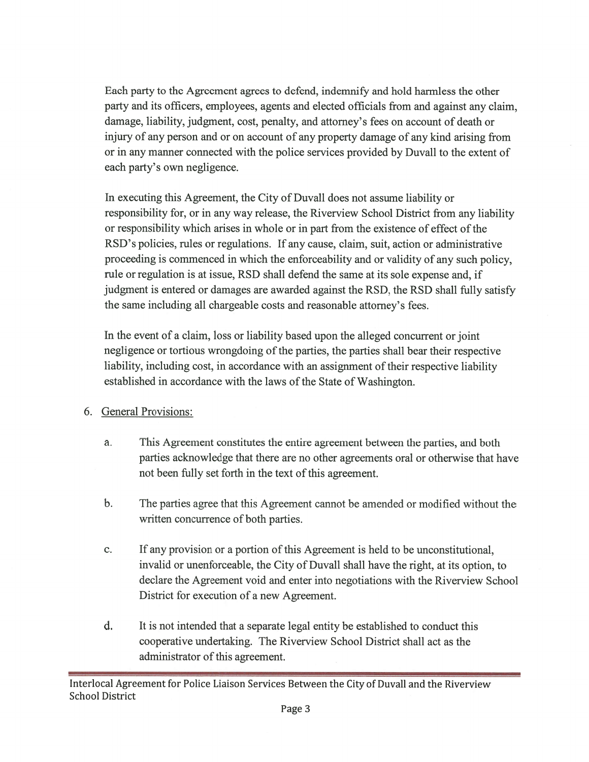Each party to the Agreement agrees to defend, indemnify and hold harmless the other party and its officers, employees, agents and elected officials from and against any claim, damage, liability, judgment, cost, penalty, and attorney's fees on account of death or injury of any person and or on account of any property damage of any kind arising from or in any manner connected with the police services provided by Duvall to the extent of each party's own negligence.

In executing this Agreement, the City of Duvall does not assume liability or responsibility for, or in any way release, the Riverview School District from any liability or responsibility which arises in whole or in par<sup>t</sup> from the existence of effect ofthe RSD's policies, rules or regulations. If any cause, claim, suit, action or administrative proceeding is commenced in which the enforceability and or validity of any such policy, rule or regulation is at issue, RSD shall defend the same at its sole expense and, if judgment is entered or damages are awarded against the RSD, the RSD shall fully satisfy the same including all chargeable costs and reasonable attorney's fees.

In the event of <sup>a</sup> claim, loss or liability based upon the alleged concurrent or joint negligence or tortious wrongdoing of the parties, the parties shall bear their respective liability, including cost, in accordance with an assignment of their respective liability established in accordance with the laws of the State of Washington.

### 6. General Provisions:

- a. This Agreement constitutes the entire agreemen<sup>t</sup> between the parties, and both parties acknowledge that there are no other agreements oral or otherwise that have not been fully set forth in the text of this agreement.
- b. The parties agree that this Agreement cannot be amended or modified without the written concurrence of both parties.
- c. If any provision or <sup>a</sup> portion ofthis Agreement is held to be unconstitutional, invalid or unenforceable, the City of Duvall shall have the right, at its option, to declare the Agreement void and enter into negotiations with the Riverview School District for execution of <sup>a</sup> new Agreement.
- d. It is not intended that <sup>a</sup> separate legal entity be established to conduct this cooperative undertaking. The Riverview School District shall act as the administrator of this agreement.

Interlocal Agreement for Police Liaison Services Between the City of Duvall and the Riverview School District